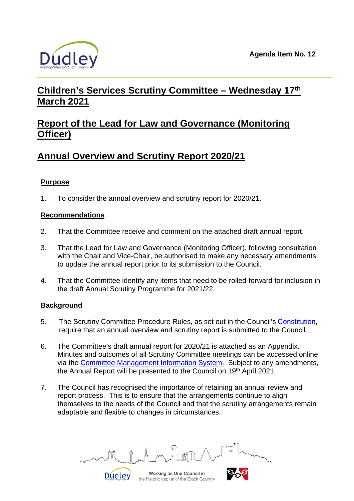

# **Children's Services Scrutiny Committee – Wednesday 17th March 2021**

## **Report of the Lead for Law and Governance (Monitoring Officer)**

## **Annual Overview and Scrutiny Report 2020/21**

## **Purpose**

1. To consider the annual overview and scrutiny report for 2020/21.

#### **Recommendations**

- 2. That the Committee receive and comment on the attached draft annual report.
- 3. That the Lead for Law and Governance (Monitoring Officer), following consultation with the Chair and Vice-Chair, be authorised to make any necessary amendments to update the annual report prior to its submission to the Council.
- 4. That the Committee identify any items that need to be rolled-forward for inclusion in the draft Annual Scrutiny Programme for 2021/22.

## **Background**

- 5. The Scrutiny Committee Procedure Rules, as set out in the Council's [Constitution,](https://cmis.dudley.gov.uk/cmis5/PublicDocuments.aspx) require that an annual overview and scrutiny report is submitted to the Council.
- 6. The Committee's draft annual report for 2020/21 is attached as an Appendix. Minutes and outcomes of all Scrutiny Committee meetings can be accessed online via the [Committee Management Information System.](https://cmis.dudley.gov.uk/cmis5/Meetings.aspx) Subject to any amendments, the Annual Report will be presented to the Council on 19th April 2021.
- 7. The Council has recognised the importance of retaining an annual review and report process. This is to ensure that the arrangements continue to align themselves to the needs of the Council and that the scrutiny arrangements remain adaptable and flexible to changes in circumstances.

Working as One Council in the historic capital of the Black Country

Dudley

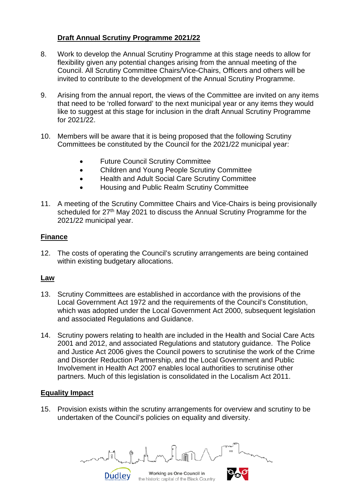## **Draft Annual Scrutiny Programme 2021/22**

- 8. Work to develop the Annual Scrutiny Programme at this stage needs to allow for flexibility given any potential changes arising from the annual meeting of the Council. All Scrutiny Committee Chairs/Vice-Chairs, Officers and others will be invited to contribute to the development of the Annual Scrutiny Programme.
- 9. Arising from the annual report, the views of the Committee are invited on any items that need to be 'rolled forward' to the next municipal year or any items they would like to suggest at this stage for inclusion in the draft Annual Scrutiny Programme for 2021/22.
- 10. Members will be aware that it is being proposed that the following Scrutiny Committees be constituted by the Council for the 2021/22 municipal year:
	- Future Council Scrutiny Committee
	- Children and Young People Scrutiny Committee
	- Health and Adult Social Care Scrutiny Committee
	- Housing and Public Realm Scrutiny Committee
- 11. A meeting of the Scrutiny Committee Chairs and Vice-Chairs is being provisionally scheduled for 27<sup>th</sup> May 2021 to discuss the Annual Scrutiny Programme for the 2021/22 municipal year.

## **Finance**

12. The costs of operating the Council's scrutiny arrangements are being contained within existing budgetary allocations.

#### **Law**

- 13. Scrutiny Committees are established in accordance with the provisions of the Local Government Act 1972 and the requirements of the Council's Constitution, which was adopted under the Local Government Act 2000, subsequent legislation and associated Regulations and Guidance.
- 14. Scrutiny powers relating to health are included in the Health and Social Care Acts 2001 and 2012, and associated Regulations and statutory guidance. The Police and Justice Act 2006 gives the Council powers to scrutinise the work of the Crime and Disorder Reduction Partnership, and the Local Government and Public Involvement in Health Act 2007 enables local authorities to scrutinise other partners. Much of this legislation is consolidated in the Localism Act 2011.

## **Equality Impact**

15. Provision exists within the scrutiny arrangements for overview and scrutiny to be undertaken of the Council's policies on equality and diversity.

Working as One Council in the historic capital of the Black Country

Dudley